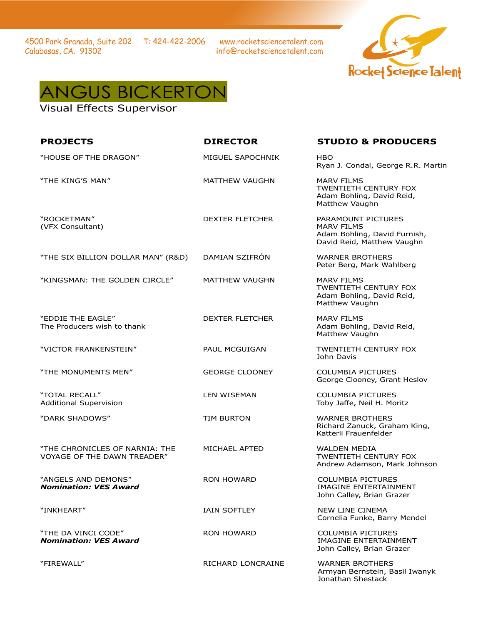4500 Park Granada, Suite 202 T: 424-422-2006 Calabasas, CA. 91302

www.rocketsciencetalent.com info@rocketsciencetalent.com





Visual Effects Supervisor

| <b>PROJECTS</b>                                                      | <b>DIRECTOR</b>        | <b>STUDIO &amp; PRODUCERS</b>                                                                         |
|----------------------------------------------------------------------|------------------------|-------------------------------------------------------------------------------------------------------|
| "HOUSE OF THE DRAGON"                                                | MIGUEL SAPOCHNIK       | <b>HBO</b><br>Ryan J. Condal, George R.R. Martin                                                      |
| "THE KING'S MAN"                                                     | <b>MATTHEW VAUGHN</b>  | <b>MARV FILMS</b><br>TWENTIETH CENTURY FOX<br>Adam Bohling, David Reid,<br>Matthew Vaughn             |
| "ROCKETMAN"<br>(VFX Consultant)                                      | <b>DEXTER FLETCHER</b> | PARAMOUNT PICTURES<br><b>MARV FILMS</b><br>Adam Bohling, David Furnish,<br>David Reid, Matthew Vaughn |
| "THE SIX BILLION DOLLAR MAN" (R&D)                                   | DAMIAN SZIFRÓN         | <b>WARNER BROTHERS</b><br>Peter Berg, Mark Wahlberg                                                   |
| "KINGSMAN: THE GOLDEN CIRCLE"                                        | MATTHEW VAUGHN         | <b>MARV FILMS</b><br>TWENTIETH CENTURY FOX<br>Adam Bohling, David Reid,<br>Matthew Vaughn             |
| "EDDIE THE EAGLE"<br>The Producers wish to thank                     | <b>DEXTER FLETCHER</b> | <b>MARV FILMS</b><br>Adam Bohling, David Reid,<br>Matthew Vaughn                                      |
| "VICTOR FRANKENSTEIN"                                                | PAUL MCGUIGAN          | TWENTIETH CENTURY FOX<br>John Davis                                                                   |
| "THE MONUMENTS MEN"                                                  | <b>GEORGE CLOONEY</b>  | <b>COLUMBIA PICTURES</b><br>George Clooney, Grant Heslov                                              |
| "TOTAL RECALL"<br><b>Additional Supervision</b>                      | LEN WISEMAN            | <b>COLUMBIA PICTURES</b><br>Toby Jaffe, Neil H. Moritz                                                |
| "DARK SHADOWS"                                                       | <b>TIM BURTON</b>      | <b>WARNER BROTHERS</b><br>Richard Zanuck, Graham King,<br>Katterli Frauenfelder                       |
| "THE CHRONICLES OF NARNIA: THE<br><b>VOYAGE OF THE DAWN TREADER"</b> | MICHAEL APTED          | <b>WALDEN MEDIA</b><br>TWENTIETH CENTURY FOX<br>Andrew Adamson, Mark Johnson                          |
| "ANGELS AND DEMONS"<br><b>Nomination: VES Award</b>                  | <b>RON HOWARD</b>      | <b>COLUMBIA PICTURES</b><br>IMAGINE ENTERTAINMENT<br>John Calley, Brian Grazer                        |
| "INKHEART"                                                           | <b>IAIN SOFTLEY</b>    | <b>NEW LINE CINEMA</b><br>Cornelia Funke, Barry Mendel                                                |
| "THE DA VINCI CODE"<br><b>Nomination: VES Award</b>                  | <b>RON HOWARD</b>      | <b>COLUMBIA PICTURES</b><br>IMAGINE ENTERTAINMENT<br>John Calley, Brian Grazer                        |
| "FIREWALL"                                                           | RICHARD LONCRAINE      | <b>WARNER BROTHERS</b><br>Armyan Bernstein, Basil Iwanyk                                              |

Jonathan Shestack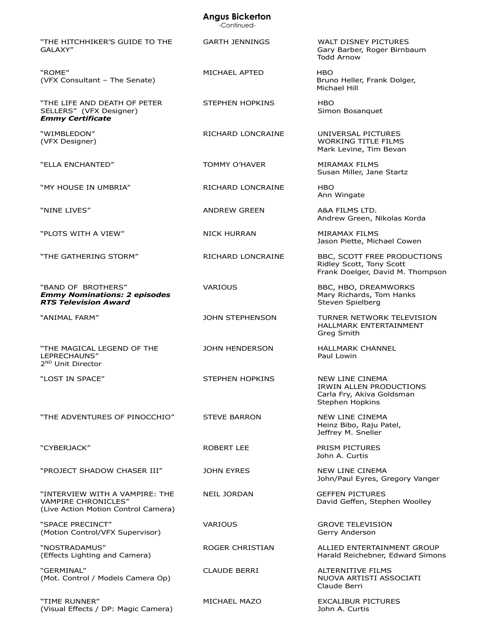## **Angus Bickerton**

-Continued-

|                                                                                                     | -COMMODE -             |                                                                                             |
|-----------------------------------------------------------------------------------------------------|------------------------|---------------------------------------------------------------------------------------------|
| "THE HITCHHIKER'S GUIDE TO THE<br>GALAXY"                                                           | <b>GARTH JENNINGS</b>  | WALT DISNEY PICTURES<br>Gary Barber, Roger Birnbaum<br><b>Todd Arnow</b>                    |
| "ROME"<br>(VFX Consultant - The Senate)                                                             | MICHAEL APTED          | <b>HBO</b><br>Bruno Heller, Frank Dolger,<br>Michael Hill                                   |
| "THE LIFE AND DEATH OF PETER<br>SELLERS" (VFX Designer)<br><b>Emmy Certificate</b>                  | <b>STEPHEN HOPKINS</b> | <b>HBO</b><br>Simon Bosanquet                                                               |
| "WIMBLEDON"<br>(VFX Designer)                                                                       | RICHARD LONCRAINE      | UNIVERSAL PICTURES<br><b>WORKING TITLE FILMS</b><br>Mark Levine, Tim Bevan                  |
| "ELLA ENCHANTED"                                                                                    | <b>TOMMY O'HAVER</b>   | <b>MIRAMAX FILMS</b><br>Susan Miller, Jane Startz                                           |
| "MY HOUSE IN UMBRIA"                                                                                | RICHARD LONCRAINE      | HBO<br>Ann Wingate                                                                          |
| "NINE LIVES"                                                                                        | <b>ANDREW GREEN</b>    | A&A FILMS LTD.<br>Andrew Green, Nikolas Korda                                               |
| "PLOTS WITH A VIEW"                                                                                 | <b>NICK HURRAN</b>     | MIRAMAX FILMS<br>Jason Piette, Michael Cowen                                                |
| "THE GATHERING STORM"                                                                               | RICHARD LONCRAINE      | BBC, SCOTT FREE PRODUCTIONS<br>Ridley Scott, Tony Scott<br>Frank Doelger, David M. Thompson |
| "BAND OF BROTHERS"<br><b>Emmy Nominations: 2 episodes</b><br><b>RTS Television Award</b>            | <b>VARIOUS</b>         | BBC, HBO, DREAMWORKS<br>Mary Richards, Tom Hanks<br>Steven Spielberg                        |
| "ANIMAL FARM"                                                                                       | JOHN STEPHENSON        | TURNER NETWORK TELEVISION<br>HALLMARK ENTERTAINMENT<br>Greg Smith                           |
| "THE MAGICAL LEGEND OF THE<br>LEPRECHAUNS"<br>2 <sup>ND</sup> Unit Director                         | <b>JOHN HENDERSON</b>  | <b>HALLMARK CHANNEL</b><br>Paul Lowin                                                       |
| "LOST IN SPACE"                                                                                     | STEPHEN HOPKINS        | NEW LINE CINEMA<br>IRWIN ALLEN PRODUCTIONS<br>Carla Fry, Akiva Goldsman<br>Stephen Hopkins  |
| "THE ADVENTURES OF PINOCCHIO"                                                                       | <b>STEVE BARRON</b>    | <b>NEW LINE CINEMA</b><br>Heinz Bibo, Raju Patel,<br>Jeffrey M. Sneller                     |
| "CYBERJACK"                                                                                         | <b>ROBERT LEE</b>      | <b>PRISM PICTURES</b><br>John A. Curtis                                                     |
| "PROJECT SHADOW CHASER III"                                                                         | <b>JOHN EYRES</b>      | NEW LINE CINEMA<br>John/Paul Eyres, Gregory Vanger                                          |
| "INTERVIEW WITH A VAMPIRE: THE<br><b>VAMPIRE CHRONICLES"</b><br>(Live Action Motion Control Camera) | <b>NEIL JORDAN</b>     | <b>GEFFEN PICTURES</b><br>David Geffen, Stephen Woolley                                     |
| "SPACE PRECINCT"<br>(Motion Control/VFX Supervisor)                                                 | <b>VARIOUS</b>         | <b>GROVE TELEVISION</b><br>Gerry Anderson                                                   |
| "NOSTRADAMUS"<br>(Effects Lighting and Camera)                                                      | ROGER CHRISTIAN        | ALLIED ENTERTAINMENT GROUP<br>Harald Reichebner, Edward Simons                              |
| "GERMINAL"<br>(Mot. Control / Models Camera Op)                                                     | <b>CLAUDE BERRI</b>    | ALTERNITIVE FILMS<br>NUOVA ARTISTI ASSOCIATI<br>Claude Berri                                |
| "TIME RUNNER"<br>(Visual Effects / DP: Magic Camera)                                                | MICHAEL MAZO           | <b>EXCALIBUR PICTURES</b><br>John A. Curtis                                                 |